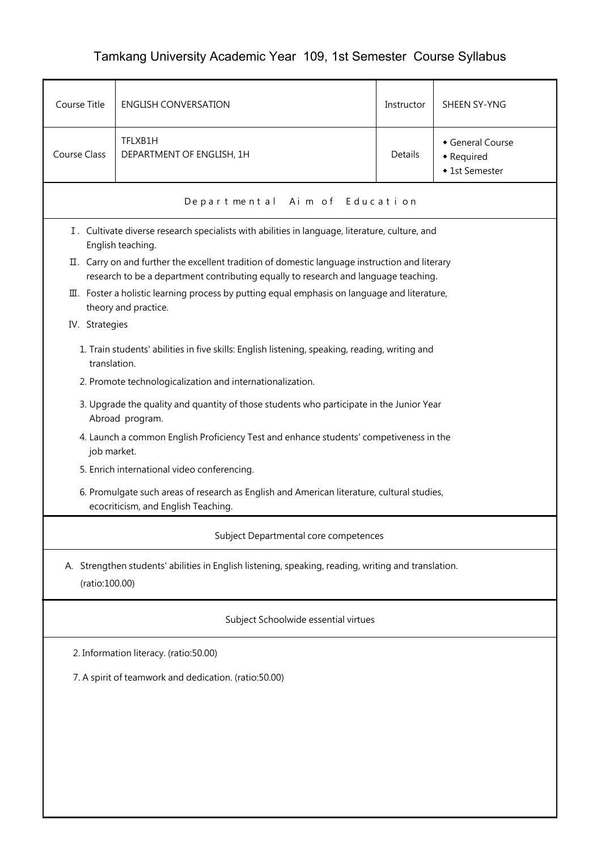## Tamkang University Academic Year 109, 1st Semester Course Syllabus

| Course Title                                                                                                                                                                                                             | <b>ENGLISH CONVERSATION</b>                                                                                         | Instructor | SHEEN SY-YNG                                   |  |  |  |
|--------------------------------------------------------------------------------------------------------------------------------------------------------------------------------------------------------------------------|---------------------------------------------------------------------------------------------------------------------|------------|------------------------------------------------|--|--|--|
| <b>Course Class</b>                                                                                                                                                                                                      | TFLXB1H<br>DEPARTMENT OF ENGLISH, 1H                                                                                | Details    | General Course<br>• Required<br>◆ 1st Semester |  |  |  |
|                                                                                                                                                                                                                          | Departmental Aim of Education                                                                                       |            |                                                |  |  |  |
|                                                                                                                                                                                                                          | I. Cultivate diverse research specialists with abilities in language, literature, culture, and<br>English teaching. |            |                                                |  |  |  |
|                                                                                                                                                                                                                          | II. Carry on and further the excellent tradition of domestic language instruction and literary                      |            |                                                |  |  |  |
| research to be a department contributing equally to research and language teaching.<br>$\overline{u}$ . Foster a holistic learning process by putting equal emphasis on language and literature,<br>theory and practice. |                                                                                                                     |            |                                                |  |  |  |
| IV. Strategies                                                                                                                                                                                                           |                                                                                                                     |            |                                                |  |  |  |
| 1. Train students' abilities in five skills: English listening, speaking, reading, writing and<br>translation.                                                                                                           |                                                                                                                     |            |                                                |  |  |  |
|                                                                                                                                                                                                                          | 2. Promote technologicalization and internationalization.                                                           |            |                                                |  |  |  |
|                                                                                                                                                                                                                          | 3. Upgrade the quality and quantity of those students who participate in the Junior Year<br>Abroad program.         |            |                                                |  |  |  |
|                                                                                                                                                                                                                          | 4. Launch a common English Proficiency Test and enhance students' competiveness in the<br>job market.               |            |                                                |  |  |  |
|                                                                                                                                                                                                                          | 5. Enrich international video conferencing.                                                                         |            |                                                |  |  |  |
| 6. Promulgate such areas of research as English and American literature, cultural studies,<br>ecocriticism, and English Teaching.                                                                                        |                                                                                                                     |            |                                                |  |  |  |
| Subject Departmental core competences                                                                                                                                                                                    |                                                                                                                     |            |                                                |  |  |  |
| A. Strengthen students' abilities in English listening, speaking, reading, writing and translation.<br>(ratio:100.00)                                                                                                    |                                                                                                                     |            |                                                |  |  |  |
| Subject Schoolwide essential virtues                                                                                                                                                                                     |                                                                                                                     |            |                                                |  |  |  |
| 2. Information literacy. (ratio:50.00)                                                                                                                                                                                   |                                                                                                                     |            |                                                |  |  |  |
| 7. A spirit of teamwork and dedication. (ratio:50.00)                                                                                                                                                                    |                                                                                                                     |            |                                                |  |  |  |
|                                                                                                                                                                                                                          |                                                                                                                     |            |                                                |  |  |  |
|                                                                                                                                                                                                                          |                                                                                                                     |            |                                                |  |  |  |
|                                                                                                                                                                                                                          |                                                                                                                     |            |                                                |  |  |  |
|                                                                                                                                                                                                                          |                                                                                                                     |            |                                                |  |  |  |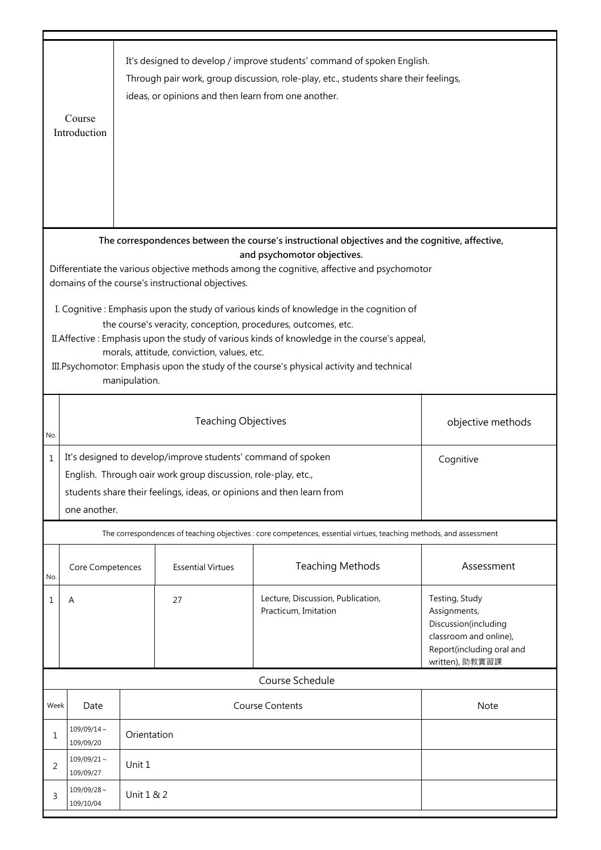|                                                                                                                                                                                                                                                                                                                                                                                                                      | Course<br>Introduction                                                                                                                                                                                                              |                                                 | ideas, or opinions and then learn from one another. | It's designed to develop / improve students' command of spoken English.<br>Through pair work, group discussion, role-play, etc., students share their feelings, |                                                                                                                                  |  |
|----------------------------------------------------------------------------------------------------------------------------------------------------------------------------------------------------------------------------------------------------------------------------------------------------------------------------------------------------------------------------------------------------------------------|-------------------------------------------------------------------------------------------------------------------------------------------------------------------------------------------------------------------------------------|-------------------------------------------------|-----------------------------------------------------|-----------------------------------------------------------------------------------------------------------------------------------------------------------------|----------------------------------------------------------------------------------------------------------------------------------|--|
| The correspondences between the course's instructional objectives and the cognitive, affective,<br>and psychomotor objectives.<br>Differentiate the various objective methods among the cognitive, affective and psychomotor<br>domains of the course's instructional objectives.                                                                                                                                    |                                                                                                                                                                                                                                     |                                                 |                                                     |                                                                                                                                                                 |                                                                                                                                  |  |
| I. Cognitive: Emphasis upon the study of various kinds of knowledge in the cognition of<br>the course's veracity, conception, procedures, outcomes, etc.<br>II. Affective: Emphasis upon the study of various kinds of knowledge in the course's appeal,<br>morals, attitude, conviction, values, etc.<br>III. Psychomotor: Emphasis upon the study of the course's physical activity and technical<br>manipulation. |                                                                                                                                                                                                                                     |                                                 |                                                     |                                                                                                                                                                 |                                                                                                                                  |  |
| No.                                                                                                                                                                                                                                                                                                                                                                                                                  |                                                                                                                                                                                                                                     | <b>Teaching Objectives</b><br>objective methods |                                                     |                                                                                                                                                                 |                                                                                                                                  |  |
| $\mathbf{1}$                                                                                                                                                                                                                                                                                                                                                                                                         | It's designed to develop/improve students' command of spoken<br>Cognitive<br>English. Through oair work group discussion, role-play, etc.,<br>students share their feelings, ideas, or opinions and then learn from<br>one another. |                                                 |                                                     |                                                                                                                                                                 |                                                                                                                                  |  |
|                                                                                                                                                                                                                                                                                                                                                                                                                      | The correspondences of teaching objectives : core competences, essential virtues, teaching methods, and assessment                                                                                                                  |                                                 |                                                     |                                                                                                                                                                 |                                                                                                                                  |  |
| No.                                                                                                                                                                                                                                                                                                                                                                                                                  | Core Competences                                                                                                                                                                                                                    |                                                 | <b>Essential Virtues</b>                            | <b>Teaching Methods</b>                                                                                                                                         | Assessment                                                                                                                       |  |
| 1                                                                                                                                                                                                                                                                                                                                                                                                                    | Α                                                                                                                                                                                                                                   |                                                 | 27                                                  | Lecture, Discussion, Publication,<br>Practicum, Imitation                                                                                                       | Testing, Study<br>Assignments,<br>Discussion(including<br>classroom and online),<br>Report(including oral and<br>written), 助教實習課 |  |
|                                                                                                                                                                                                                                                                                                                                                                                                                      | Course Schedule                                                                                                                                                                                                                     |                                                 |                                                     |                                                                                                                                                                 |                                                                                                                                  |  |
| Week                                                                                                                                                                                                                                                                                                                                                                                                                 | <b>Course Contents</b><br><b>Note</b><br>Date                                                                                                                                                                                       |                                                 |                                                     |                                                                                                                                                                 |                                                                                                                                  |  |
| 1                                                                                                                                                                                                                                                                                                                                                                                                                    | $109/09/14 \sim$<br>109/09/20                                                                                                                                                                                                       | Orientation                                     |                                                     |                                                                                                                                                                 |                                                                                                                                  |  |
| 2                                                                                                                                                                                                                                                                                                                                                                                                                    | $109/09/21$ ~<br>109/09/27                                                                                                                                                                                                          | Unit 1                                          |                                                     |                                                                                                                                                                 |                                                                                                                                  |  |
| 3                                                                                                                                                                                                                                                                                                                                                                                                                    | $109/09/28 \sim$<br>109/10/04                                                                                                                                                                                                       | Unit 1 & 2                                      |                                                     |                                                                                                                                                                 |                                                                                                                                  |  |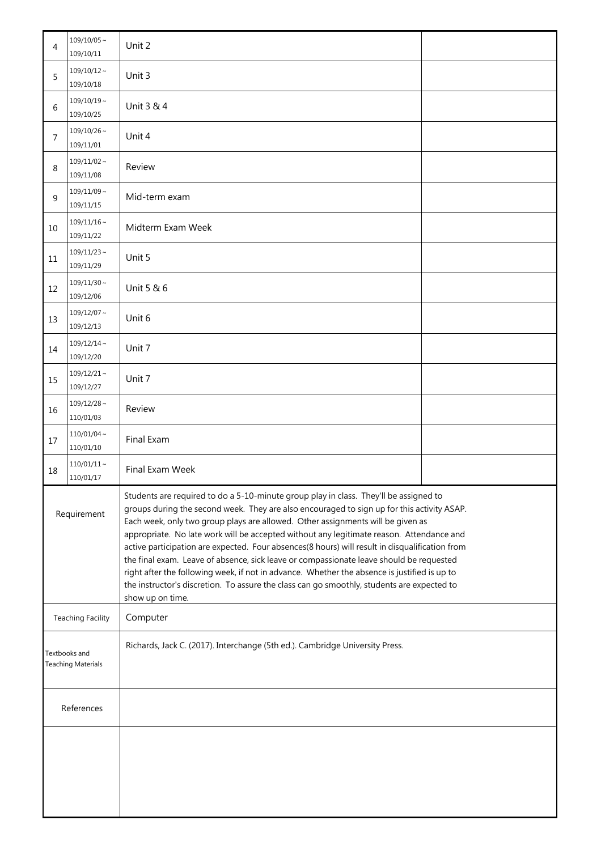| 4                                                                                                                          | $109/10/05 \sim$<br>109/10/11 | Unit 2                                                                                                                                                                                                                                                                                                                                                                                                                                                                                                                                                                                                                                                                                                                                                                            |  |  |
|----------------------------------------------------------------------------------------------------------------------------|-------------------------------|-----------------------------------------------------------------------------------------------------------------------------------------------------------------------------------------------------------------------------------------------------------------------------------------------------------------------------------------------------------------------------------------------------------------------------------------------------------------------------------------------------------------------------------------------------------------------------------------------------------------------------------------------------------------------------------------------------------------------------------------------------------------------------------|--|--|
| 5                                                                                                                          | $109/10/12 \sim$<br>109/10/18 | Unit 3                                                                                                                                                                                                                                                                                                                                                                                                                                                                                                                                                                                                                                                                                                                                                                            |  |  |
| 6                                                                                                                          | $109/10/19$ ~<br>109/10/25    | Unit 3 & 4                                                                                                                                                                                                                                                                                                                                                                                                                                                                                                                                                                                                                                                                                                                                                                        |  |  |
| 7                                                                                                                          | $109/10/26$ ~<br>109/11/01    | Unit 4                                                                                                                                                                                                                                                                                                                                                                                                                                                                                                                                                                                                                                                                                                                                                                            |  |  |
| 8                                                                                                                          | $109/11/02 \sim$<br>109/11/08 | Review                                                                                                                                                                                                                                                                                                                                                                                                                                                                                                                                                                                                                                                                                                                                                                            |  |  |
| 9                                                                                                                          | $109/11/09 \sim$<br>109/11/15 | Mid-term exam                                                                                                                                                                                                                                                                                                                                                                                                                                                                                                                                                                                                                                                                                                                                                                     |  |  |
| 10                                                                                                                         | $109/11/16\sim$<br>109/11/22  | Midterm Exam Week                                                                                                                                                                                                                                                                                                                                                                                                                                                                                                                                                                                                                                                                                                                                                                 |  |  |
| 11                                                                                                                         | $109/11/23$ ~<br>109/11/29    | Unit 5                                                                                                                                                                                                                                                                                                                                                                                                                                                                                                                                                                                                                                                                                                                                                                            |  |  |
| 12                                                                                                                         | $109/11/30$ ~<br>109/12/06    | Unit 5 & 6                                                                                                                                                                                                                                                                                                                                                                                                                                                                                                                                                                                                                                                                                                                                                                        |  |  |
| 13                                                                                                                         | $109/12/07$ ~<br>109/12/13    | Unit 6                                                                                                                                                                                                                                                                                                                                                                                                                                                                                                                                                                                                                                                                                                                                                                            |  |  |
| 14                                                                                                                         | $109/12/14$ ~<br>109/12/20    | Unit 7                                                                                                                                                                                                                                                                                                                                                                                                                                                                                                                                                                                                                                                                                                                                                                            |  |  |
| 15                                                                                                                         | $109/12/21$ ~<br>109/12/27    | Unit 7                                                                                                                                                                                                                                                                                                                                                                                                                                                                                                                                                                                                                                                                                                                                                                            |  |  |
| 16                                                                                                                         | $109/12/28$ ~<br>110/01/03    | Review                                                                                                                                                                                                                                                                                                                                                                                                                                                                                                                                                                                                                                                                                                                                                                            |  |  |
| 17                                                                                                                         | $110/01/04$ ~<br>110/01/10    | Final Exam                                                                                                                                                                                                                                                                                                                                                                                                                                                                                                                                                                                                                                                                                                                                                                        |  |  |
| 18                                                                                                                         | $110/01/11 \sim$<br>110/01/17 | Final Exam Week                                                                                                                                                                                                                                                                                                                                                                                                                                                                                                                                                                                                                                                                                                                                                                   |  |  |
| Requirement                                                                                                                |                               | Students are required to do a 5-10-minute group play in class. They'll be assigned to<br>groups during the second week. They are also encouraged to sign up for this activity ASAP.<br>Each week, only two group plays are allowed. Other assignments will be given as<br>appropriate. No late work will be accepted without any legitimate reason. Attendance and<br>active participation are expected. Four absences(8 hours) will result in disqualification from<br>the final exam. Leave of absence, sick leave or compassionate leave should be requested<br>right after the following week, if not in advance. Whether the absence is justified is up to<br>the instructor's discretion. To assure the class can go smoothly, students are expected to<br>show up on time. |  |  |
| Computer<br><b>Teaching Facility</b>                                                                                       |                               |                                                                                                                                                                                                                                                                                                                                                                                                                                                                                                                                                                                                                                                                                                                                                                                   |  |  |
| Richards, Jack C. (2017). Interchange (5th ed.). Cambridge University Press.<br>Textbooks and<br><b>Teaching Materials</b> |                               |                                                                                                                                                                                                                                                                                                                                                                                                                                                                                                                                                                                                                                                                                                                                                                                   |  |  |
| References                                                                                                                 |                               |                                                                                                                                                                                                                                                                                                                                                                                                                                                                                                                                                                                                                                                                                                                                                                                   |  |  |
|                                                                                                                            |                               |                                                                                                                                                                                                                                                                                                                                                                                                                                                                                                                                                                                                                                                                                                                                                                                   |  |  |